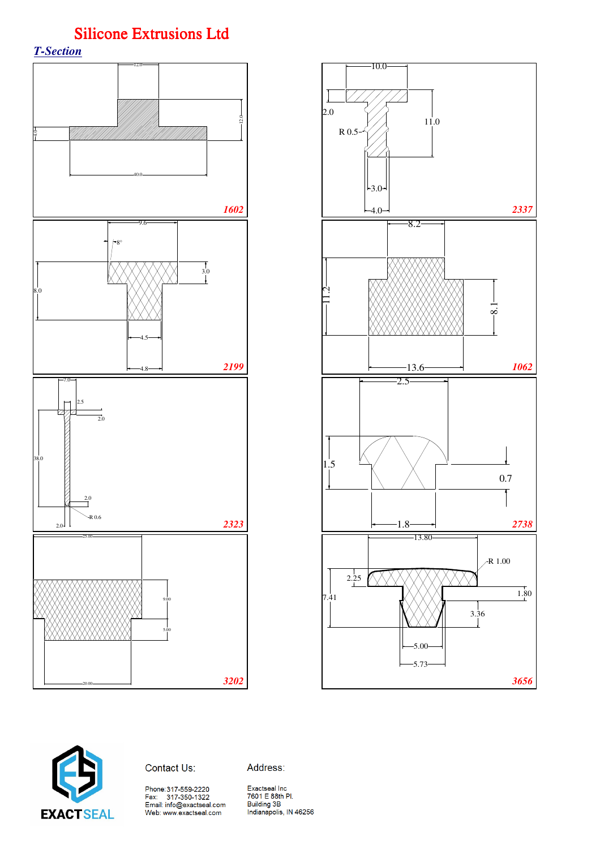*T-Section*







Address:

Phone:317-559-2220<br>Fax: 317-350-1322<br>Email: info@exactseal.com<br>Web: www.exactseal.com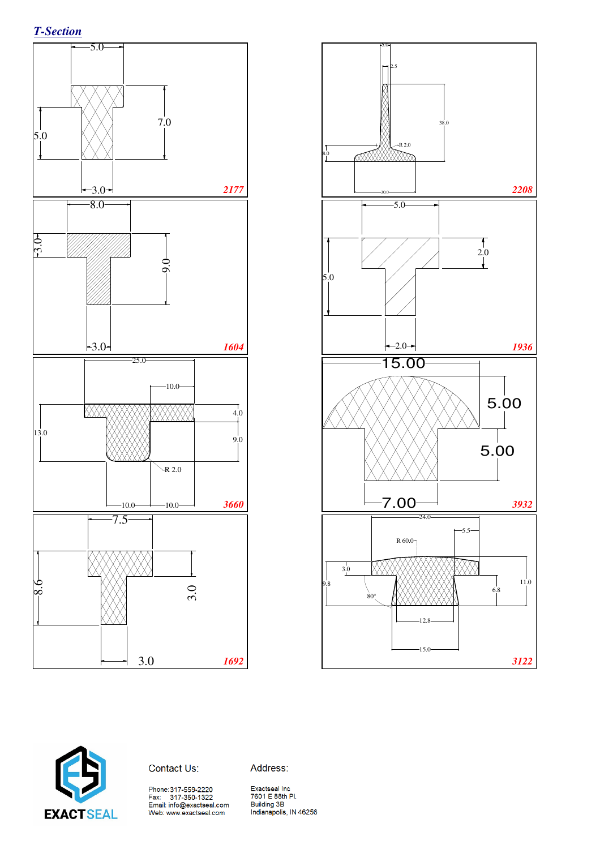





Contact Us:

Address:

Phone:317-559-2220<br>Fax: 317-350-1322<br>Email: info@exactseal.com<br>Web: www.exactseal.com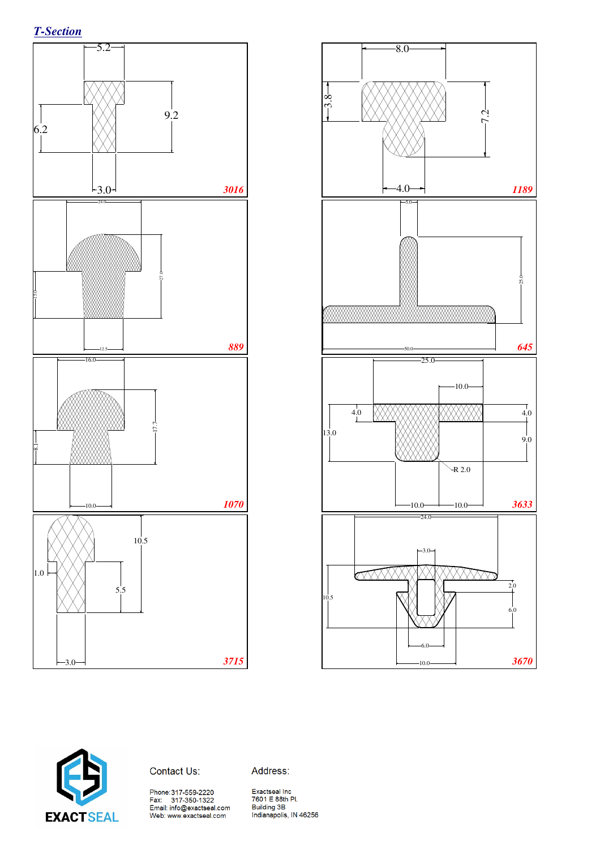





Contact Us:

Address:

Phone:317-559-2220<br>Fax: 317-350-1322<br>Email: info@exactseal.com<br>Web: www.exactseal.com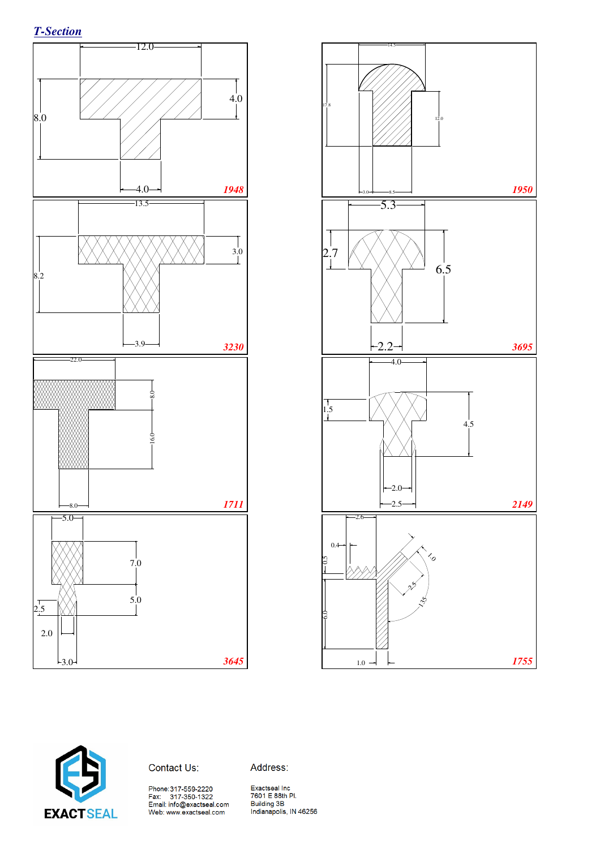





Contact Us:

Address:

Phone:317-559-2220<br>Fax: 317-350-1322<br>Email: info@exactseal.com<br>Web: www.exactseal.com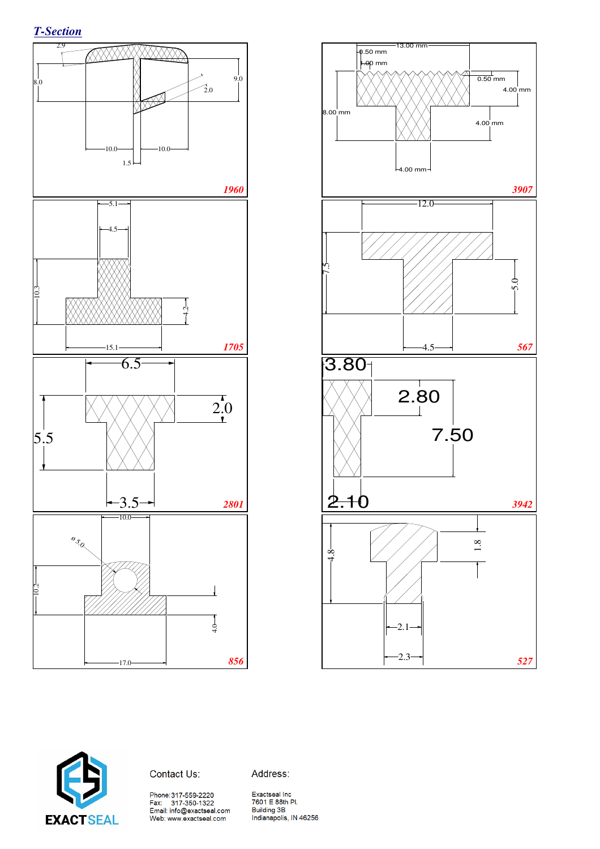





Contact Us:

Address:

Phone:317-559-2220<br>Fax: 317-350-1322<br>Email: info@exactseal.com<br>Web: www.exactseal.com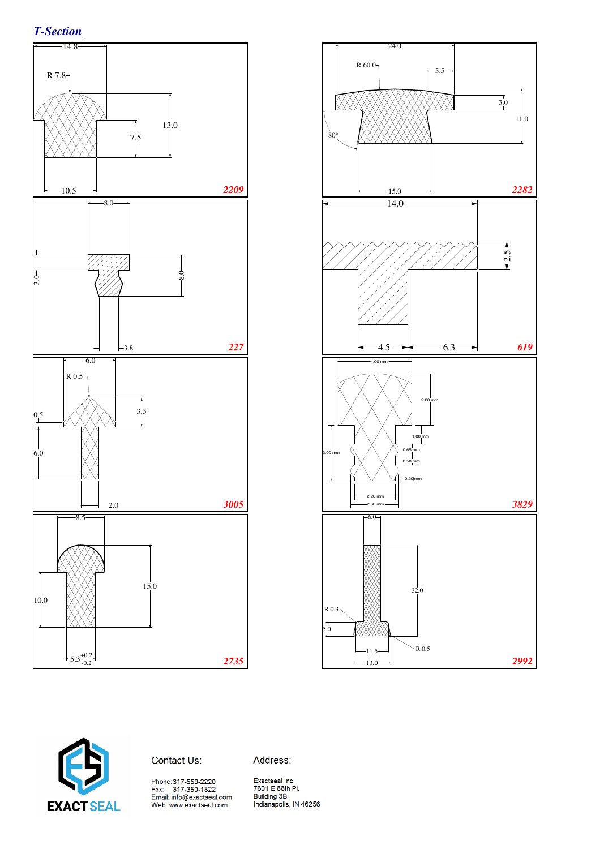







Address: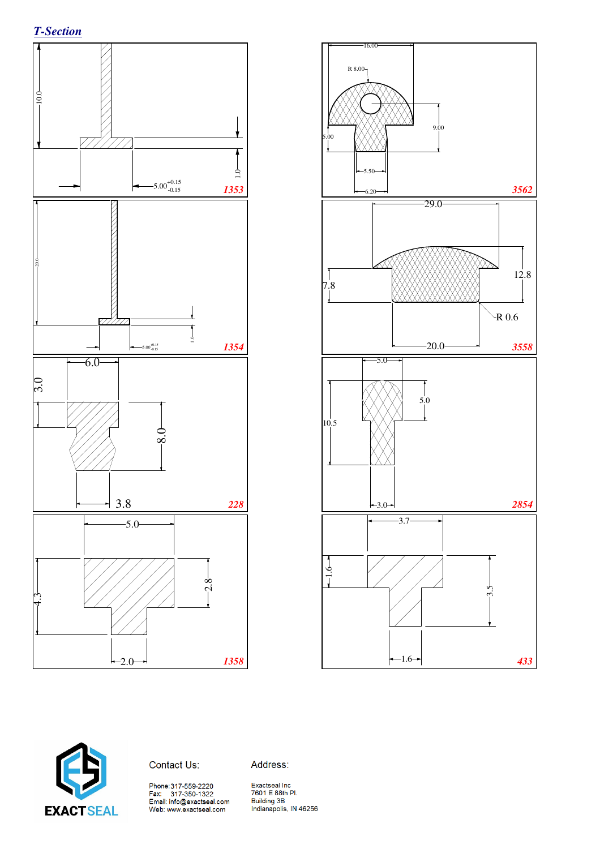







Address: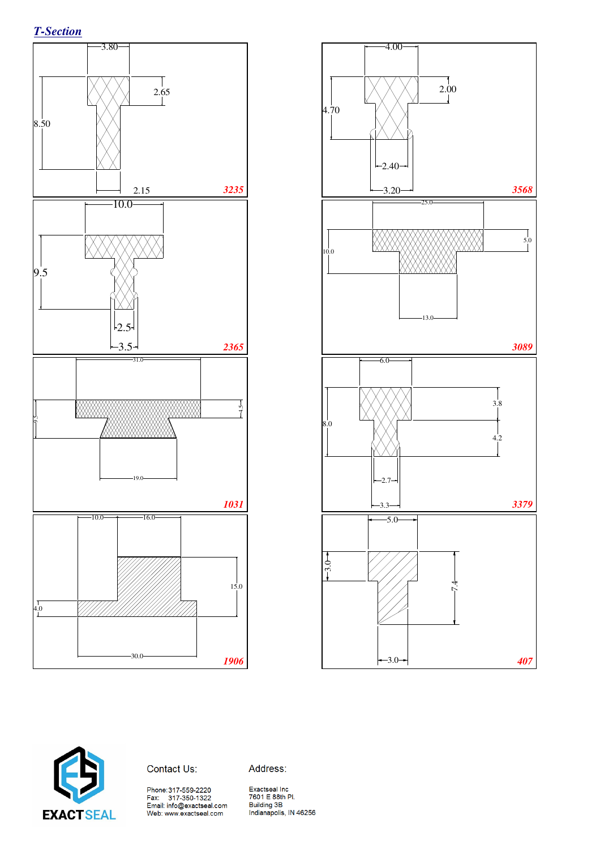





#### Contact Us:

Address:

Phone:317-559-2220<br>Fax: 317-350-1322<br>Email: info@exactseal.com<br>Web: www.exactseal.com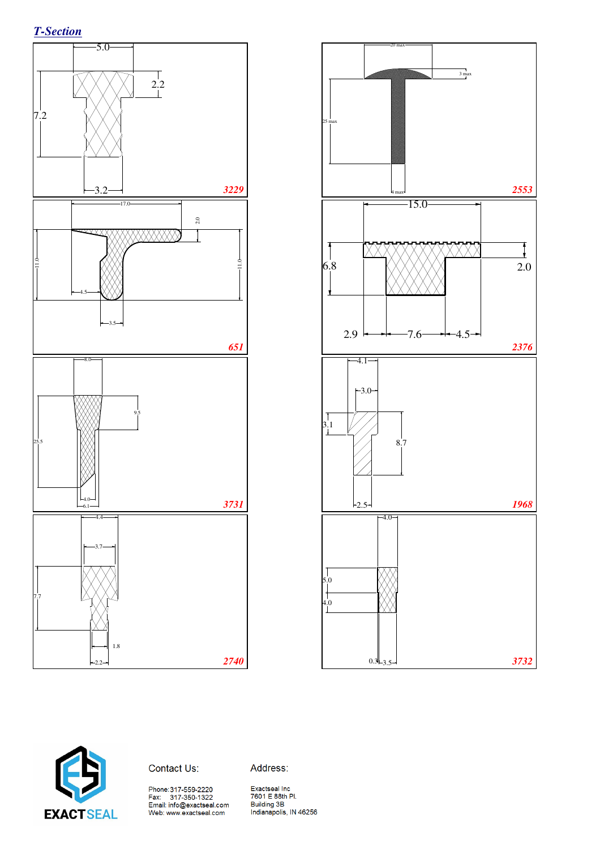





Contact Us:

Address:

Phone:317-559-2220<br>Fax: 317-350-1322<br>Email: info@exactseal.com<br>Web: www.exactseal.com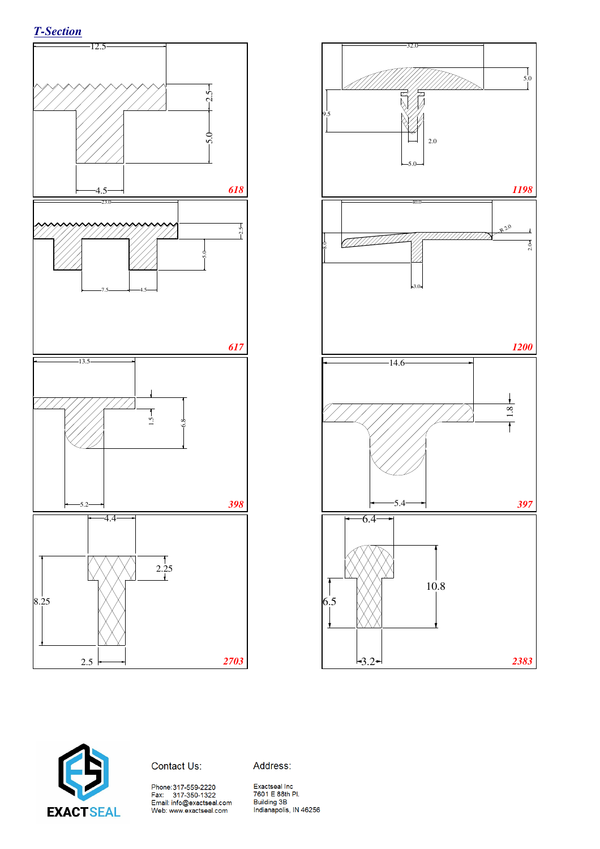





Contact Us:

Address: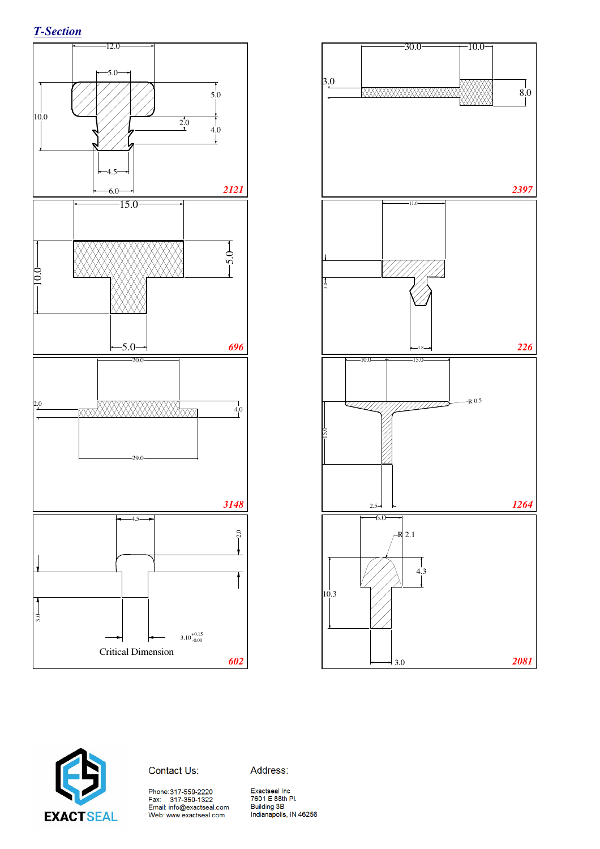





Contact Us:

Address:

Phone:317-559-2220<br>Fax: 317-350-1322<br>Email: info@exactseal.com<br>Web: www.exactseal.com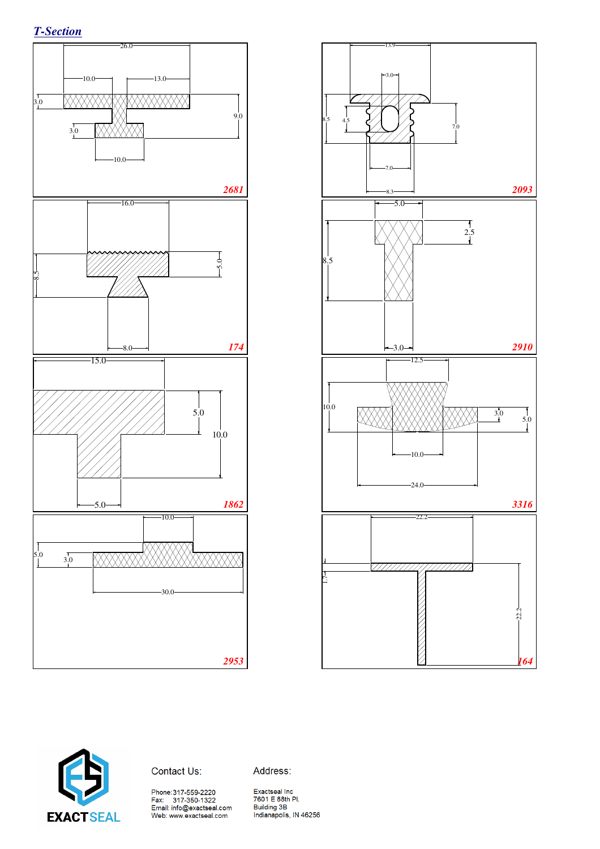





Contact Us:

Address:

Phone:317-559-2220<br>Fax: 317-350-1322<br>Email: info@exactseal.com<br>Web: www.exactseal.com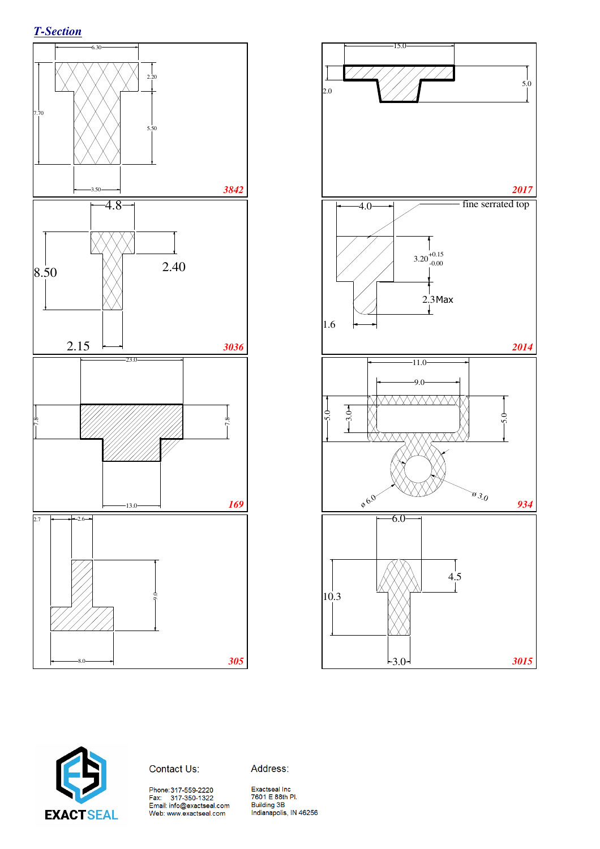*T-Section*







Address: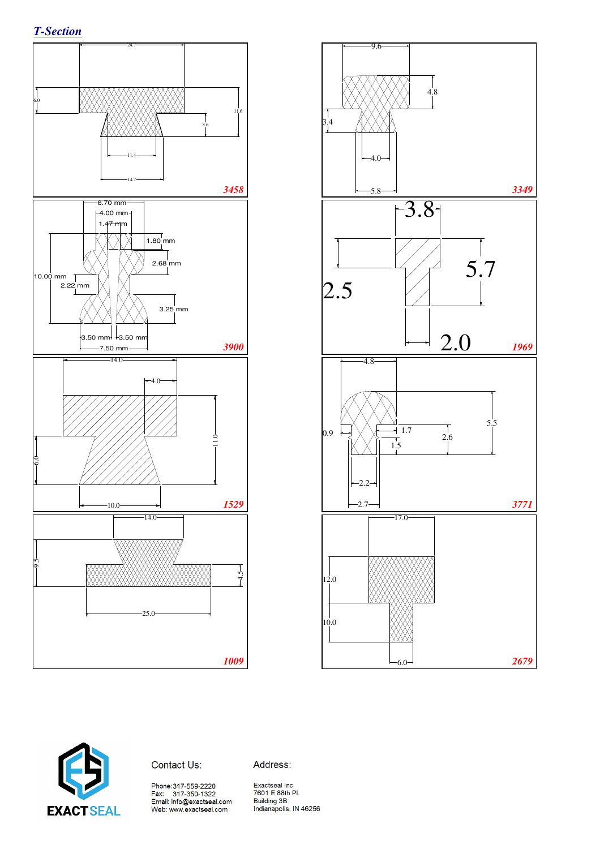





Contact Us:

Address: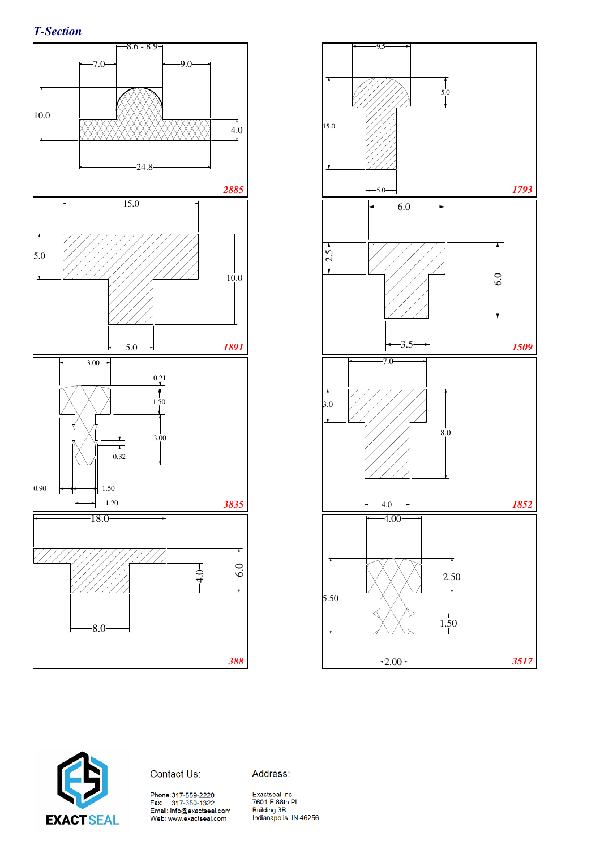





Contact Us:

Address:

Phone:317-559-2220<br>Fax: 317-350-1322<br>Email: info@exactseal.com<br>Web: www.exactseal.com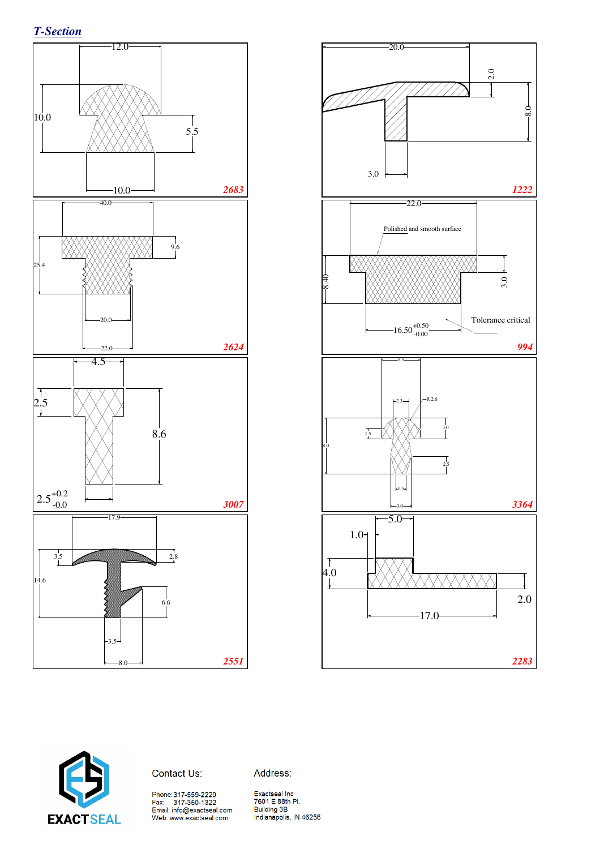





Contact Us:

Address:

Phone:317-559-2220<br>Fax: 317-350-1322<br>Email: info@exactseal.com Web: www.exactseal.com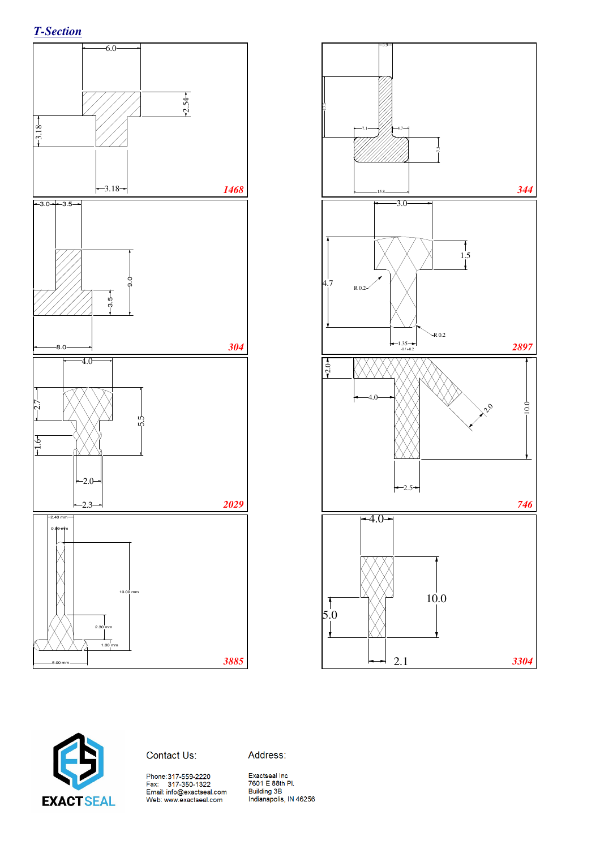





Contact Us:

Address: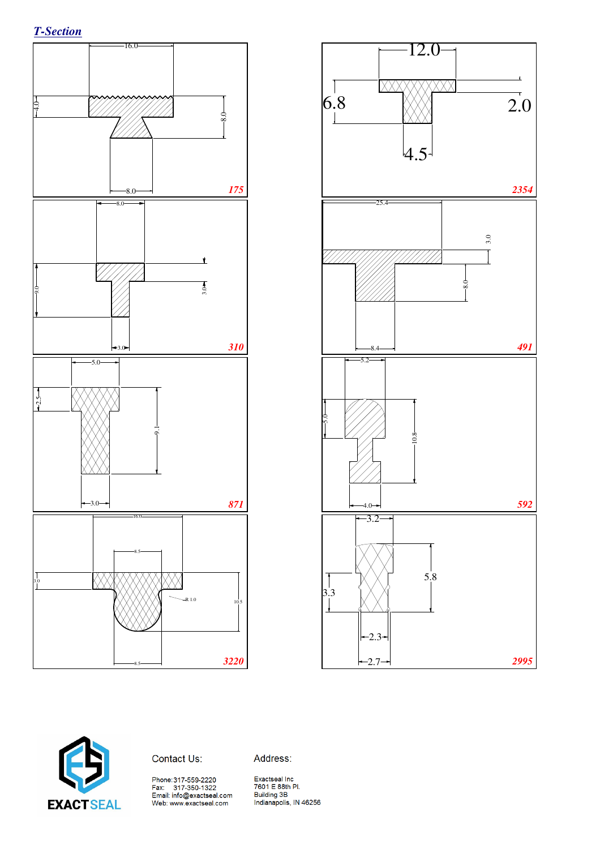





Address: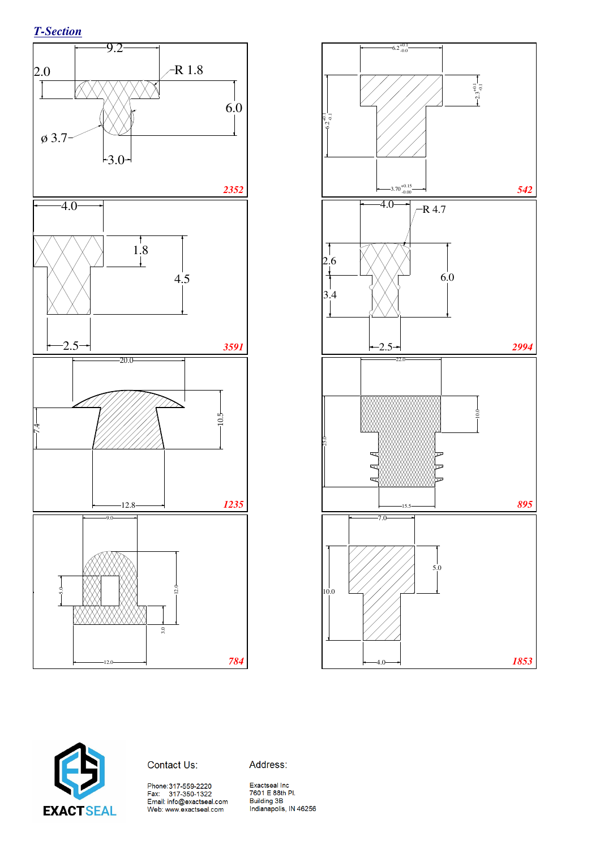*T-Section*







Address: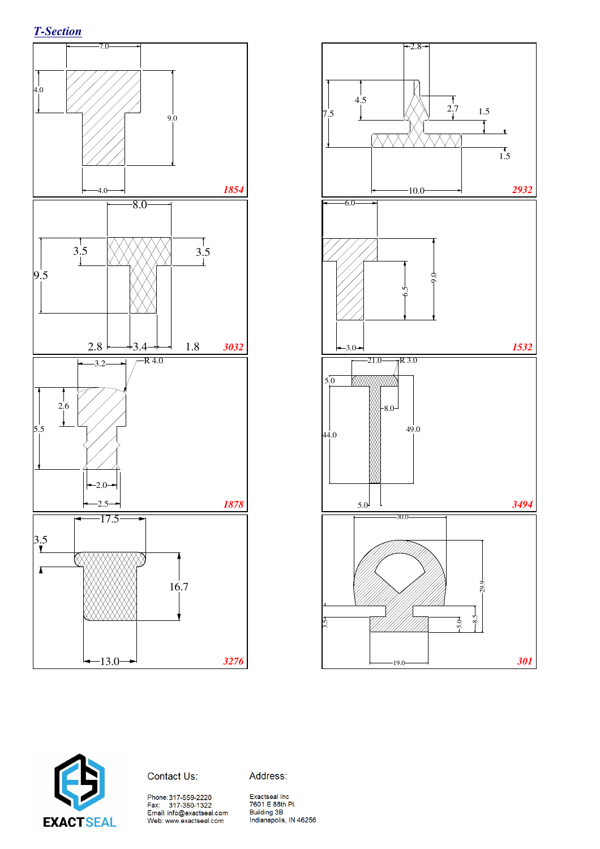





#### Contact Us:

Address:

Phone:317-559-2220<br>Fax: 317-350-1322<br>Email: info@exactseal.com<br>Web: www.exactseal.com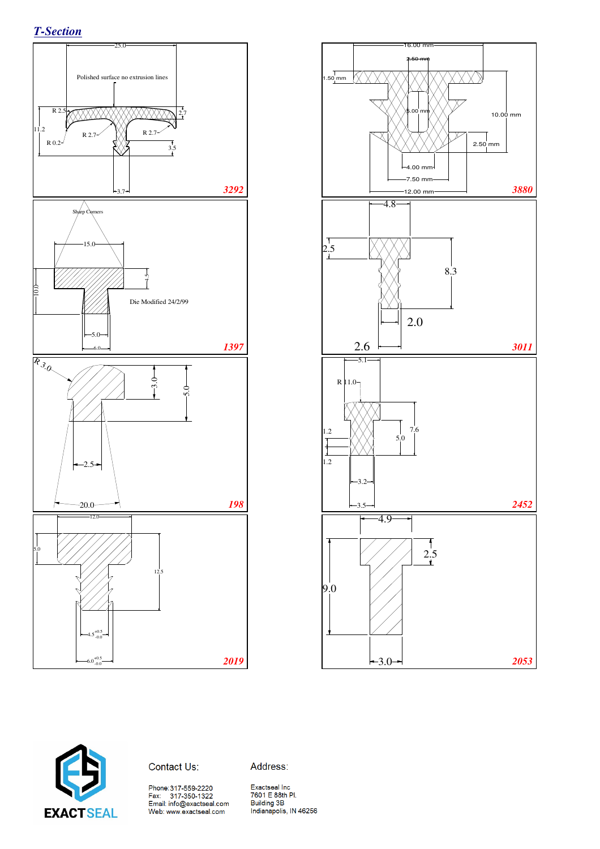*T-Section*







Address: